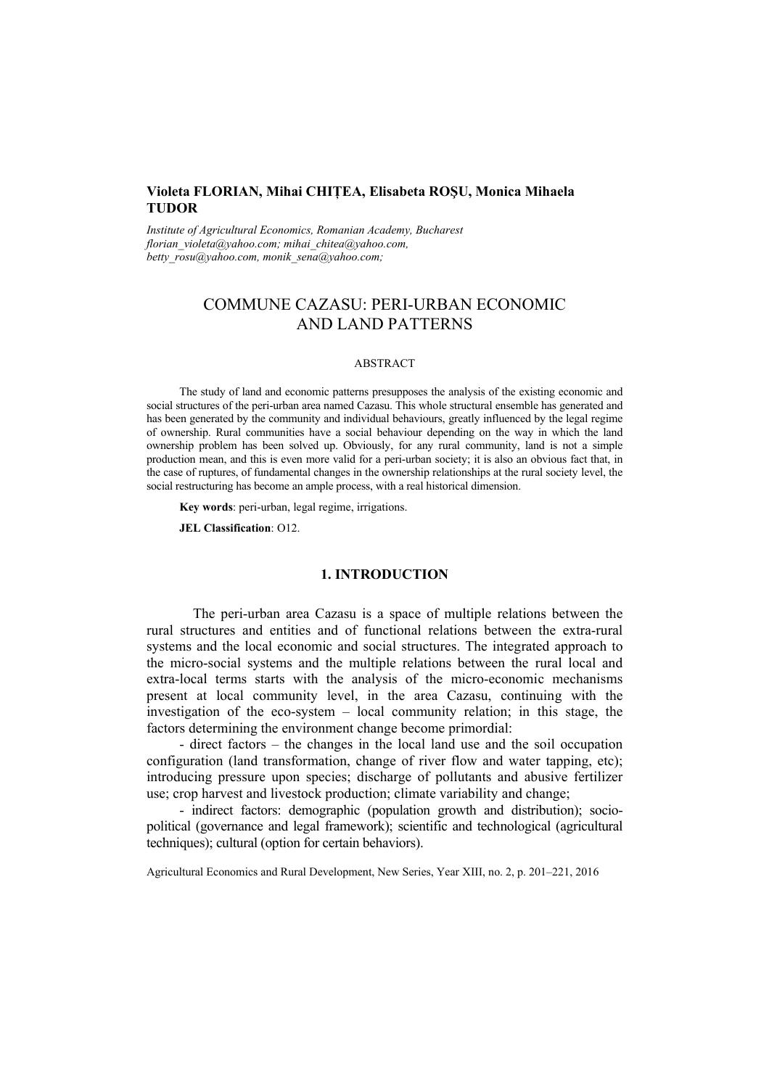# **Violeta FLORIAN, Mihai CHIŢEA, Elisabeta ROŞU, Monica Mihaela TUDOR**

*Institute of Agricultural Economics, Romanian Academy, Bucharest florian\_violeta@yahoo.com; mihai\_chitea@yahoo.com, betty\_rosu@yahoo.com, monik\_sena@yahoo.com;* 

# COMMUNE CAZASU: PERI-URBAN ECONOMIC AND LAND PATTERNS

#### ABSTRACT

The study of land and economic patterns presupposes the analysis of the existing economic and social structures of the peri-urban area named Cazasu. This whole structural ensemble has generated and has been generated by the community and individual behaviours, greatly influenced by the legal regime of ownership. Rural communities have a social behaviour depending on the way in which the land ownership problem has been solved up. Obviously, for any rural community, land is not a simple production mean, and this is even more valid for a peri-urban society; it is also an obvious fact that, in the case of ruptures, of fundamental changes in the ownership relationships at the rural society level, the social restructuring has become an ample process, with a real historical dimension.

**Key words**: peri-urban, legal regime, irrigations.

**JEL Classification**: O12.

# **1. INTRODUCTION**

The peri-urban area Cazasu is a space of multiple relations between the rural structures and entities and of functional relations between the extra-rural systems and the local economic and social structures. The integrated approach to the micro-social systems and the multiple relations between the rural local and extra-local terms starts with the analysis of the micro-economic mechanisms present at local community level, in the area Cazasu, continuing with the investigation of the eco-system – local community relation; in this stage, the factors determining the environment change become primordial:

- direct factors – the changes in the local land use and the soil occupation configuration (land transformation, change of river flow and water tapping, etc); introducing pressure upon species; discharge of pollutants and abusive fertilizer use; crop harvest and livestock production; climate variability and change;

- indirect factors: demographic (population growth and distribution); sociopolitical (governance and legal framework); scientific and technological (agricultural techniques); cultural (option for certain behaviors).

Agricultural Economics and Rural Development, New Series, Year XIII, no. 2, p. 201–221, 2016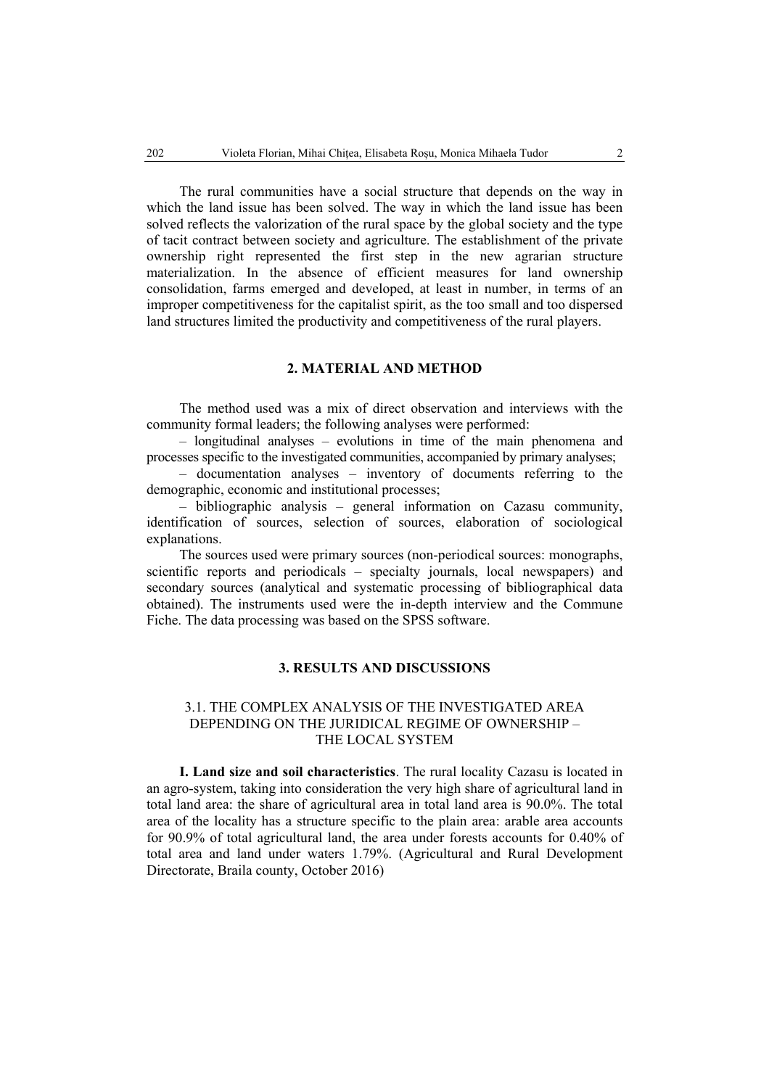The rural communities have a social structure that depends on the way in which the land issue has been solved. The way in which the land issue has been solved reflects the valorization of the rural space by the global society and the type of tacit contract between society and agriculture. The establishment of the private ownership right represented the first step in the new agrarian structure materialization. In the absence of efficient measures for land ownership consolidation, farms emerged and developed, at least in number, in terms of an improper competitiveness for the capitalist spirit, as the too small and too dispersed land structures limited the productivity and competitiveness of the rural players.

### **2. MATERIAL AND METHOD**

The method used was a mix of direct observation and interviews with the community formal leaders; the following analyses were performed:

– longitudinal analyses – evolutions in time of the main phenomena and processes specific to the investigated communities, accompanied by primary analyses;

– documentation analyses – inventory of documents referring to the demographic, economic and institutional processes;

– bibliographic analysis – general information on Cazasu community, identification of sources, selection of sources, elaboration of sociological explanations.

The sources used were primary sources (non-periodical sources: monographs, scientific reports and periodicals – specialty journals, local newspapers) and secondary sources (analytical and systematic processing of bibliographical data obtained). The instruments used were the in-depth interview and the Commune Fiche. The data processing was based on the SPSS software.

### **3. RESULTS AND DISCUSSIONS**

# 3.1. THE COMPLEX ANALYSIS OF THE INVESTIGATED AREA DEPENDING ON THE JURIDICAL REGIME OF OWNERSHIP – THE LOCAL SYSTEM

**I. Land size and soil characteristics**. The rural locality Cazasu is located in an agro-system, taking into consideration the very high share of agricultural land in total land area: the share of agricultural area in total land area is 90.0%. The total area of the locality has a structure specific to the plain area: arable area accounts for 90.9% of total agricultural land, the area under forests accounts for 0.40% of total area and land under waters 1.79%. (Agricultural and Rural Development Directorate, Braila county, October 2016)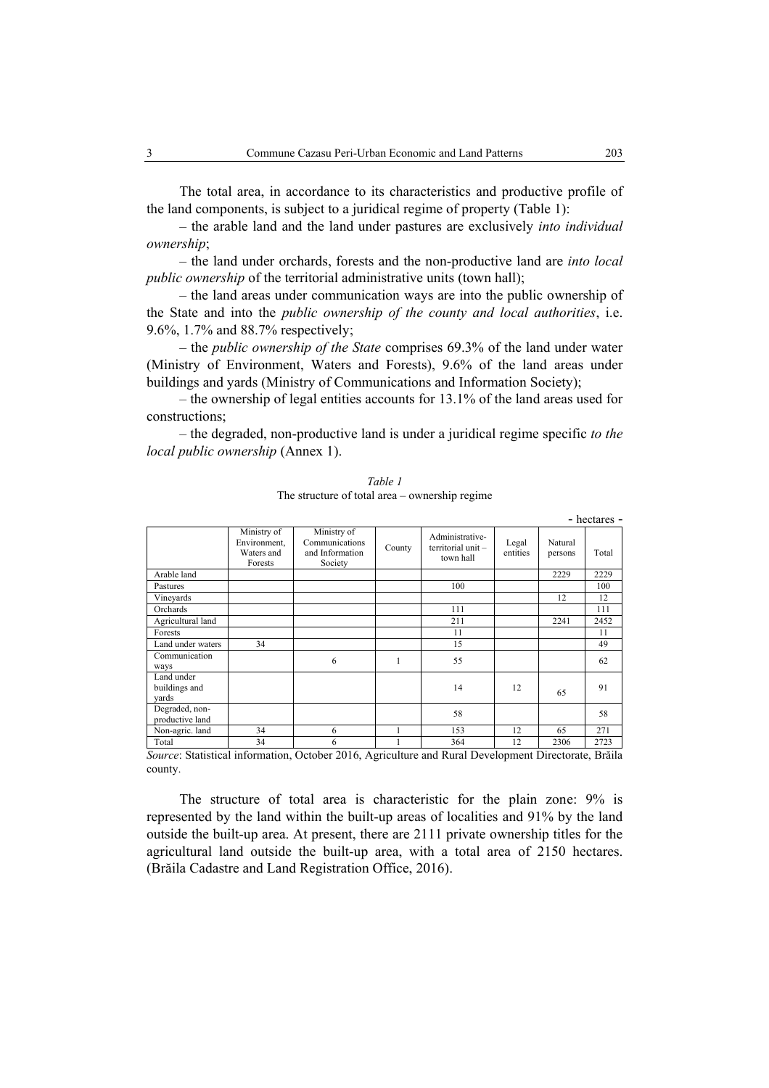The total area, in accordance to its characteristics and productive profile of the land components, is subject to a juridical regime of property (Table 1):

– the arable land and the land under pastures are exclusively *into individual ownership*;

– the land under orchards, forests and the non-productive land are *into local public ownership* of the territorial administrative units (town hall);

– the land areas under communication ways are into the public ownership of the State and into the *public ownership of the county and local authorities*, i.e. 9.6%, 1.7% and 88.7% respectively;

– the *public ownership of the State* comprises 69.3% of the land under water (Ministry of Environment, Waters and Forests), 9.6% of the land areas under buildings and yards (Ministry of Communications and Information Society);

– the ownership of legal entities accounts for 13.1% of the land areas used for constructions;

– the degraded, non-productive land is under a juridical regime specific *to the local public ownership* (Annex 1).

|                                      |                                                      |                                                             |        |                                                    |                   |                    | - hectares - |
|--------------------------------------|------------------------------------------------------|-------------------------------------------------------------|--------|----------------------------------------------------|-------------------|--------------------|--------------|
|                                      | Ministry of<br>Environment,<br>Waters and<br>Forests | Ministry of<br>Communications<br>and Information<br>Society | County | Administrative-<br>territorial unit -<br>town hall | Legal<br>entities | Natural<br>persons | Total        |
| Arable land                          |                                                      |                                                             |        |                                                    |                   | 2229               | 2229         |
| Pastures                             |                                                      |                                                             |        | 100                                                |                   |                    | 100          |
| Vineyards                            |                                                      |                                                             |        |                                                    |                   | 12                 | 12           |
| Orchards                             |                                                      |                                                             |        | 111                                                |                   |                    | 111          |
| Agricultural land                    |                                                      |                                                             |        | 211                                                |                   | 2241               | 2452         |
| Forests                              |                                                      |                                                             |        | 11                                                 |                   |                    | 11           |
| Land under waters                    | 34                                                   |                                                             |        | 15                                                 |                   |                    | 49           |
| Communication<br>ways                |                                                      | 6                                                           | 1      | 55                                                 |                   |                    | 62           |
| Land under<br>buildings and<br>vards |                                                      |                                                             |        | 14                                                 | 12                | 65                 | 91           |
| Degraded, non-<br>productive land    |                                                      |                                                             |        | 58                                                 |                   |                    | 58           |
| Non-agric. land                      | 34                                                   | 6                                                           |        | 153                                                | 12                | 65                 | 271          |
| Total                                | 34                                                   | 6                                                           |        | 364                                                | 12                | 2306               | 2723         |

*Table 1*  The structure of total area – ownership regime

*Source*: Statistical information, October 2016, Agriculture and Rural Development Directorate, Brăila county.

The structure of total area is characteristic for the plain zone: 9% is represented by the land within the built-up areas of localities and 91% by the land outside the built-up area. At present, there are 2111 private ownership titles for the agricultural land outside the built-up area, with a total area of 2150 hectares. (Brăila Cadastre and Land Registration Office, 2016).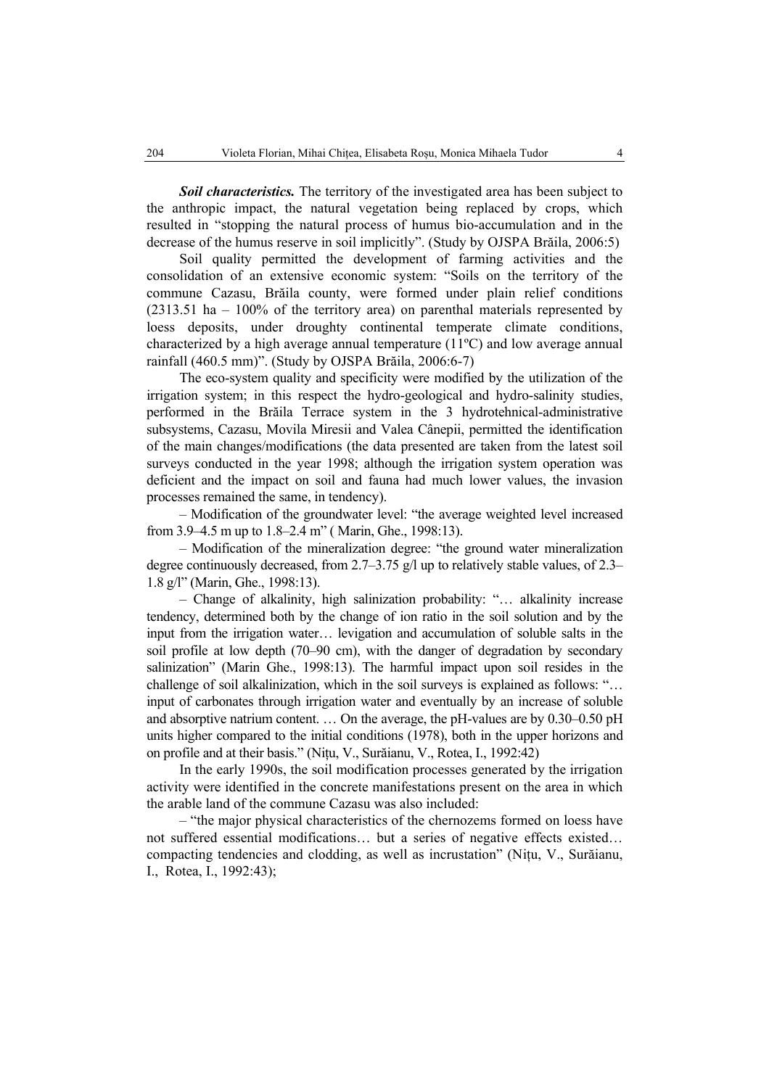*Soil characteristics.* The territory of the investigated area has been subject to the anthropic impact, the natural vegetation being replaced by crops, which resulted in "stopping the natural process of humus bio-accumulation and in the decrease of the humus reserve in soil implicitly". (Study by OJSPA Brăila, 2006:5)

Soil quality permitted the development of farming activities and the consolidation of an extensive economic system: "Soils on the territory of the commune Cazasu, Brăila county, were formed under plain relief conditions (2313.51 ha – 100% of the territory area) on parenthal materials represented by loess deposits, under droughty continental temperate climate conditions, characterized by a high average annual temperature (11ºC) and low average annual rainfall (460.5 mm)". (Study by OJSPA Brăila, 2006:6-7)

The eco-system quality and specificity were modified by the utilization of the irrigation system; in this respect the hydro-geological and hydro-salinity studies, performed in the Brăila Terrace system in the 3 hydrotehnical-administrative subsystems, Cazasu, Movila Miresii and Valea Cânepii, permitted the identification of the main changes/modifications (the data presented are taken from the latest soil surveys conducted in the year 1998; although the irrigation system operation was deficient and the impact on soil and fauna had much lower values, the invasion processes remained the same, in tendency).

– Modification of the groundwater level: "the average weighted level increased from 3.9–4.5 m up to 1.8–2.4 m" ( Marin, Ghe., 1998:13).

– Modification of the mineralization degree: "the ground water mineralization degree continuously decreased, from 2.7–3.75 g/l up to relatively stable values, of 2.3– 1.8 g/l" (Marin, Ghe., 1998:13).

– Change of alkalinity, high salinization probability: "… alkalinity increase tendency, determined both by the change of ion ratio in the soil solution and by the input from the irrigation water… levigation and accumulation of soluble salts in the soil profile at low depth (70–90 cm), with the danger of degradation by secondary salinization" (Marin Ghe., 1998:13). The harmful impact upon soil resides in the challenge of soil alkalinization, which in the soil surveys is explained as follows: "… input of carbonates through irrigation water and eventually by an increase of soluble and absorptive natrium content. … On the average, the pH-values are by 0.30–0.50 pH units higher compared to the initial conditions (1978), both in the upper horizons and on profile and at their basis." (Nițu, V., Surăianu, V., Rotea, I., 1992:42)

In the early 1990s, the soil modification processes generated by the irrigation activity were identified in the concrete manifestations present on the area in which the arable land of the commune Cazasu was also included:

– "the major physical characteristics of the chernozems formed on loess have not suffered essential modifications… but a series of negative effects existed… compacting tendencies and clodding, as well as incrustation" (Nițu, V., Surăianu, I., Rotea, I., 1992:43);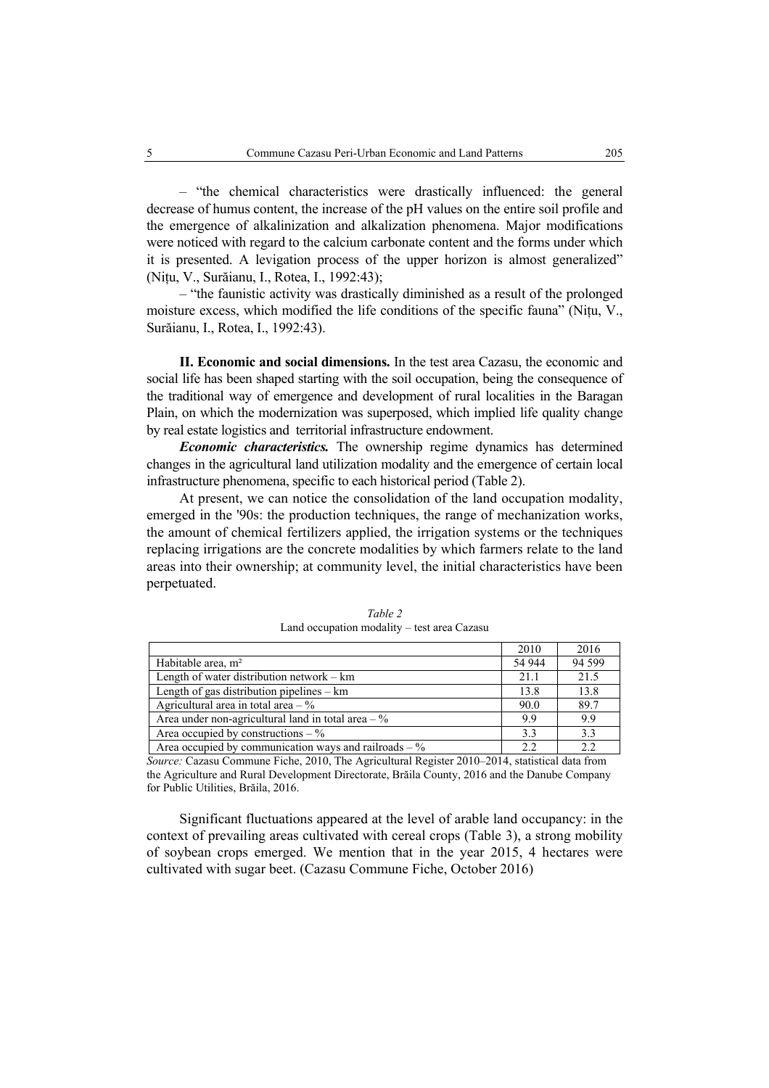– "the chemical characteristics were drastically influenced: the general decrease of humus content, the increase of the pH values on the entire soil profile and the emergence of alkalinization and alkalization phenomena. Major modifications were noticed with regard to the calcium carbonate content and the forms under which it is presented. A levigation process of the upper horizon is almost generalized" (Nițu, V., Surăianu, I., Rotea, I., 1992:43);

– "the faunistic activity was drastically diminished as a result of the prolonged moisture excess, which modified the life conditions of the specific fauna" (Nițu, V., Surăianu, I., Rotea, I., 1992:43).

**II. Economic and social dimensions.** In the test area Cazasu, the economic and social life has been shaped starting with the soil occupation, being the consequence of the traditional way of emergence and development of rural localities in the Baragan Plain, on which the modernization was superposed, which implied life quality change by real estate logistics and territorial infrastructure endowment.

*Economic characteristics.* The ownership regime dynamics has determined changes in the agricultural land utilization modality and the emergence of certain local infrastructure phenomena, specific to each historical period (Table 2).

At present, we can notice the consolidation of the land occupation modality, emerged in the '90s: the production techniques, the range of mechanization works, the amount of chemical fertilizers applied, the irrigation systems or the techniques replacing irrigations are the concrete modalities by which farmers relate to the land areas into their ownership; at community level, the initial characteristics have been perpetuated.

|                                                               | 2010   | 2016    |
|---------------------------------------------------------------|--------|---------|
| Habitable area, $m2$                                          | 54 944 | 94 5 99 |
| Length of water distribution network $-$ km                   | 21.1   | 21.5    |
| Length of gas distribution pipelines $-$ km                   | 13.8   | 13.8    |
| Agricultural area in total area $-$ %                         | 90.0   | 89.7    |
| Area under non-agricultural land in total area $-\frac{6}{6}$ | 9.9    | 9.9     |
| Area occupied by constructions $-\%$                          | 3.3    | 3.3     |
| Area occupied by communication ways and railroads $-$ %       | 2.2    | 2.2     |

*Table 2*  Land occupation modality – test area Cazasu

*Source:* Cazasu Commune Fiche, 2010, The Agricultural Register 2010–2014, statistical data from the Agriculture and Rural Development Directorate, Brăila County, 2016 and the Danube Company for Public Utilities, Brăila, 2016.

Significant fluctuations appeared at the level of arable land occupancy: in the context of prevailing areas cultivated with cereal crops (Table 3), a strong mobility of soybean crops emerged. We mention that in the year 2015, 4 hectares were cultivated with sugar beet. (Cazasu Commune Fiche, October 2016)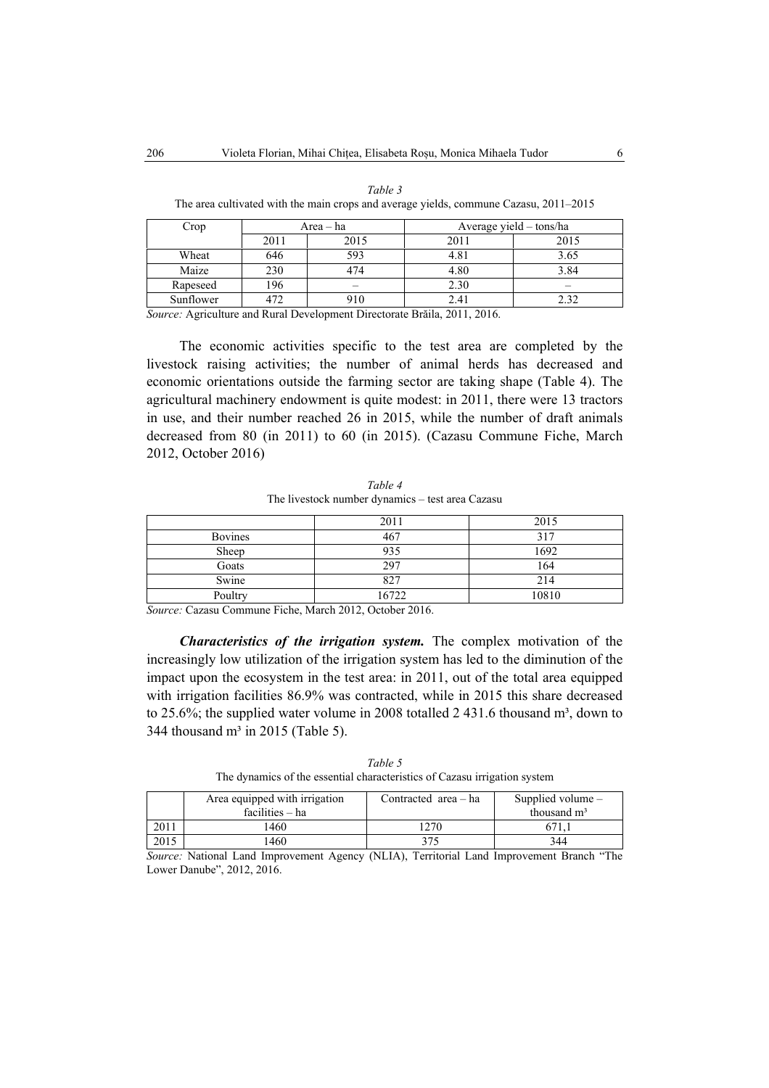| Crop      |      | Area – ha |      | Average yield – tons/ha |
|-----------|------|-----------|------|-------------------------|
|           |      |           |      |                         |
|           | 2011 | 2015      | 2011 | 2015                    |
| Wheat     | 646  | 593       | 4.81 | 3.65                    |
| Maize     | 230  | 474       | 4.80 | 3.84                    |
| Rapeseed  | 196  |           | 2.30 |                         |
| Sunflower | 472  | 910       | 2.4i | 2.32                    |

*Table 3*  The area cultivated with the main crops and average yields, commune Cazasu, 2011–2015

*Source:* Agriculture and Rural Development Directorate Brăila, 2011, 2016.

The economic activities specific to the test area are completed by the livestock raising activities; the number of animal herds has decreased and economic orientations outside the farming sector are taking shape (Table 4). The agricultural machinery endowment is quite modest: in 2011, there were 13 tractors in use, and their number reached 26 in 2015, while the number of draft animals decreased from 80 (in 2011) to 60 (in 2015). (Cazasu Commune Fiche, March 2012, October 2016)

*Table 4*  The livestock number dynamics – test area Cazasu

|                | 2011  | 2015  |
|----------------|-------|-------|
| <b>Bovines</b> | 467   | 317   |
| Sheep          | 935   | 1692  |
| Goats          | 297   | 164   |
| Swine          | 827   | 214   |
| Poultry        | 16722 | 10810 |

*Source:* Cazasu Commune Fiche, March 2012, October 2016.

*Characteristics of the irrigation system.* The complex motivation of the increasingly low utilization of the irrigation system has led to the diminution of the impact upon the ecosystem in the test area: in 2011, out of the total area equipped with irrigation facilities 86.9% was contracted, while in 2015 this share decreased to 25.6%; the supplied water volume in 2008 totalled 2 431.6 thousand  $m^3$ , down to 344 thousand  $m<sup>3</sup>$  in 2015 (Table 5).

*Table 5*  The dynamics of the essential characteristics of Cazasu irrigation system

|      | Area equipped with irrigation | Contracted area – ha | Supplied volume $-$ |
|------|-------------------------------|----------------------|---------------------|
|      | facilities – ha               |                      | thousand $m3$       |
| 2011 | 460                           | 1270                 |                     |
| 2015 | 460                           |                      | 344                 |

*Source:* National Land Improvement Agency (NLIA), Territorial Land Improvement Branch "The Lower Danube", 2012, 2016.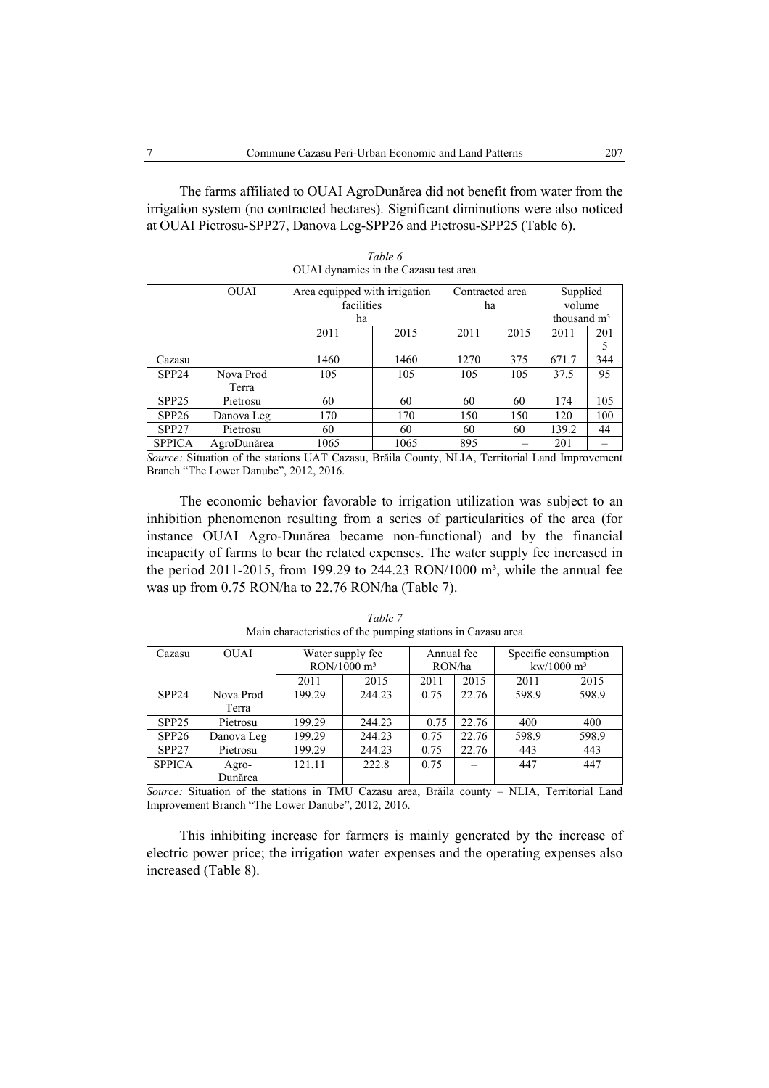The farms affiliated to OUAI AgroDunărea did not benefit from water from the irrigation system (no contracted hectares). Significant diminutions were also noticed at OUAI Pietrosu-SPP27, Danova Leg-SPP26 and Pietrosu-SPP25 (Table 6).

| <b>OUAI</b> | Area equipped with irrigation |                                                                                                                                                                                                                                                                                                                                                               | Contracted area |      | Supplied      |                                                                                       |
|-------------|-------------------------------|---------------------------------------------------------------------------------------------------------------------------------------------------------------------------------------------------------------------------------------------------------------------------------------------------------------------------------------------------------------|-----------------|------|---------------|---------------------------------------------------------------------------------------|
|             |                               |                                                                                                                                                                                                                                                                                                                                                               | ha              |      | volume        |                                                                                       |
|             | ha                            |                                                                                                                                                                                                                                                                                                                                                               |                 |      | thousand $m3$ |                                                                                       |
|             | 2011                          | 2015                                                                                                                                                                                                                                                                                                                                                          | 2011            | 2015 | 2011          | 201                                                                                   |
|             |                               |                                                                                                                                                                                                                                                                                                                                                               |                 |      |               |                                                                                       |
|             | 1460                          | 1460                                                                                                                                                                                                                                                                                                                                                          | 1270            | 375  | 671.7         | 344                                                                                   |
| Nova Prod   | 105                           | 105                                                                                                                                                                                                                                                                                                                                                           | 105             | 105  | 37.5          | 95                                                                                    |
| Terra       |                               |                                                                                                                                                                                                                                                                                                                                                               |                 |      |               |                                                                                       |
| Pietrosu    | 60                            | 60                                                                                                                                                                                                                                                                                                                                                            | 60              | 60   | 174           | 105                                                                                   |
| Danova Leg  | 170                           | 170                                                                                                                                                                                                                                                                                                                                                           | 150             | 150  | 120           | 100                                                                                   |
| Pietrosu    | 60                            | 60                                                                                                                                                                                                                                                                                                                                                            | 60              | 60   | 139.2         | 44                                                                                    |
| AgroDunărea | 1065                          | 1065                                                                                                                                                                                                                                                                                                                                                          | 895             |      | 201           |                                                                                       |
|             |                               | $\alpha$ , $\alpha$ , $\alpha$ , $\alpha$ , $\alpha$ , $\alpha$ , $\alpha$ , $\alpha$ , $\alpha$ , $\alpha$ , $\alpha$ , $\alpha$ , $\alpha$ , $\alpha$ , $\alpha$ , $\alpha$ , $\alpha$ , $\alpha$ , $\alpha$ , $\alpha$ , $\alpha$ , $\alpha$ , $\alpha$ , $\alpha$ , $\alpha$ , $\alpha$ , $\alpha$ , $\alpha$ , $\alpha$ , $\alpha$ , $\alpha$ , $\alpha$ | facilities      |      |               | $\mathbf{D}$ $\mathbf{v}$ if $\mathbf{u}$ and $\mathbf{v}$ is the set of $\mathbf{v}$ |

*Table 6*  OUAI dynamics in the Cazasu test area

*Source:* Situation of the stations UAT Cazasu, Brăila County, NLIA, Territorial Land Improvement Branch "The Lower Danube", 2012, 2016.

The economic behavior favorable to irrigation utilization was subject to an inhibition phenomenon resulting from a series of particularities of the area (for instance OUAI Agro-Dunărea became non-functional) and by the financial incapacity of farms to bear the related expenses. The water supply fee increased in the period 2011-2015, from 199.29 to 244.23 RON/1000  $m^3$ , while the annual fee was up from 0.75 RON/ha to 22.76 RON/ha (Table 7).

| Cazasu            | <b>OUAI</b> | Water supply fee |                        | Annual fee |       | Specific consumption |       |  |
|-------------------|-------------|------------------|------------------------|------------|-------|----------------------|-------|--|
|                   |             |                  | $RON/1000 \text{ m}^3$ | RON/ha     |       | $kw/1000 m^3$        |       |  |
|                   |             | 2011             | 2015                   | 2011       | 2015  | 2011                 | 2015  |  |
| SPP <sub>24</sub> | Nova Prod   | 199.29           | 244.23                 | 0.75       | 22.76 | 598.9                | 598.9 |  |
|                   | Terra       |                  |                        |            |       |                      |       |  |
| SPP <sub>25</sub> | Pietrosu    | 199.29           | 244.23                 | 0.75       | 22.76 | 400                  | 400   |  |
| SPP <sub>26</sub> | Danova Leg  | 199.29           | 244.23                 | 0.75       | 22.76 | 598.9                | 598.9 |  |
| SPP <sub>27</sub> | Pietrosu    | 199.29           | 244.23                 | 0.75       | 22.76 | 443                  | 443   |  |
| <b>SPPICA</b>     | Agro-       | 121.11           | 222.8                  | 0.75       |       | 447                  | 447   |  |
|                   | Dunărea     |                  |                        |            |       |                      |       |  |

*Table 7*  Main characteristics of the pumping stations in Cazasu area

*Source:* Situation of the stations in TMU Cazasu area, Brăila county – NLIA, Territorial Land Improvement Branch "The Lower Danube", 2012, 2016.

This inhibiting increase for farmers is mainly generated by the increase of electric power price; the irrigation water expenses and the operating expenses also increased (Table 8).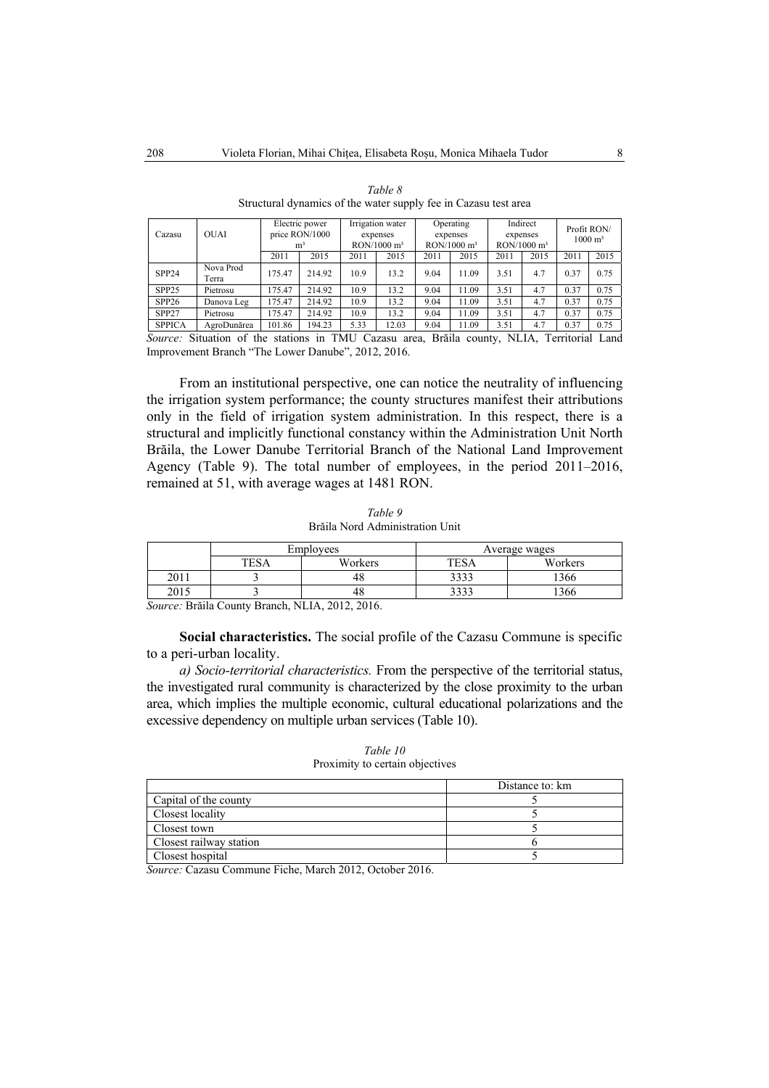| Cazasu            | <b>OUAI</b>        |        | Electric power<br>price RON/1000<br>m <sup>3</sup> |      | Irrigation water<br>expenses<br>$RON/1000$ m <sup>3</sup> |      | Operating<br>expenses<br>$RON/1000$ m <sup>3</sup> | $RON/1000$ m <sup>3</sup> | Indirect<br>expenses |      | Profit RON/<br>$1000 \; \mathrm{m}^3$ |
|-------------------|--------------------|--------|----------------------------------------------------|------|-----------------------------------------------------------|------|----------------------------------------------------|---------------------------|----------------------|------|---------------------------------------|
|                   |                    | 2011   | 2015                                               | 2011 | 2015                                                      | 2011 | 2015                                               | 2011                      | 2015                 | 2011 | 2015                                  |
| SPP <sub>24</sub> | Nova Prod<br>Terra | 175.47 | 214.92                                             | 10.9 | 13.2                                                      | 9.04 | 11.09                                              | 3.51                      | 4.7                  | 0.37 | 0.75                                  |
| SPP <sub>25</sub> | Pietrosu           | 175.47 | 214.92                                             | 10.9 | 13.2                                                      | 9.04 | 11.09                                              | 3.51                      | 4.7                  | 0.37 | 0.75                                  |
| SPP <sub>26</sub> | Danova Leg         | 175.47 | 214.92                                             | 10.9 | 13.2                                                      | 9.04 | 11.09                                              | 3.51                      | 4.7                  | 0.37 | 0.75                                  |
| SPP <sub>27</sub> | Pietrosu           | 175.47 | 214.92                                             | 10.9 | 13.2                                                      | 9.04 | 11.09                                              | 3.51                      | 4.7                  | 0.37 | 0.75                                  |
| <b>SPPICA</b>     | AgroDunărea        | 101.86 | 194.23                                             | 5.33 | 12.03                                                     | 9.04 | 11.09                                              | 3.51                      | 4.7                  | 0.37 | 0.75                                  |

| Table 8                                                         |
|-----------------------------------------------------------------|
| Structural dynamics of the water supply fee in Cazasu test area |

*Source:* Situation of the stations in TMU Cazasu area, Brăila county, NLIA, Territorial Land Improvement Branch "The Lower Danube", 2012, 2016.

From an institutional perspective, one can notice the neutrality of influencing the irrigation system performance; the county structures manifest their attributions only in the field of irrigation system administration. In this respect, there is a structural and implicitly functional constancy within the Administration Unit North Brăila, the Lower Danube Territorial Branch of the National Land Improvement Agency (Table 9). The total number of employees, in the period 2011–2016, remained at 51, with average wages at 1481 RON.

| Table 9                         |  |
|---------------------------------|--|
| Brăila Nord Administration Unit |  |

|      | Employees   |         | Average wages |         |  |
|------|-------------|---------|---------------|---------|--|
|      | <b>TESA</b> | Workers | <b>TESA</b>   | Workers |  |
| 2011 |             |         | 3333          | 366     |  |
| 2015 |             | 46      | <b>つつつつ</b>   | 366     |  |

*Source:* Brăila County Branch, NLIA, 2012, 2016.

**Social characteristics.** The social profile of the Cazasu Commune is specific to a peri-urban locality.

*a) Socio-territorial characteristics.* From the perspective of the territorial status, the investigated rural community is characterized by the close proximity to the urban area, which implies the multiple economic, cultural educational polarizations and the excessive dependency on multiple urban services (Table 10).

| Table 10                        |  |
|---------------------------------|--|
| Proximity to certain objectives |  |

|                         | Distance to: km |
|-------------------------|-----------------|
| Capital of the county   |                 |
| Closest locality        |                 |
| Closest town            |                 |
| Closest railway station |                 |
| Closest hospital        |                 |

*Source:* Cazasu Commune Fiche, March 2012, October 2016.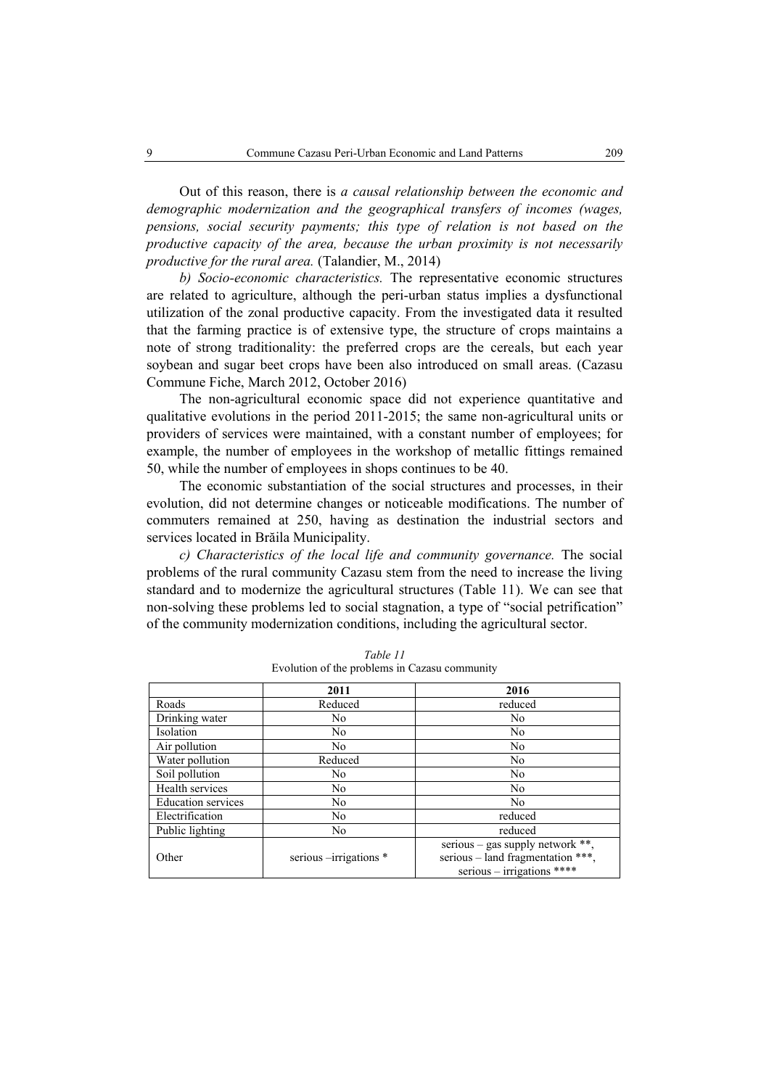Out of this reason, there is *a causal relationship between the economic and demographic modernization and the geographical transfers of incomes (wages, pensions, social security payments; this type of relation is not based on the productive capacity of the area, because the urban proximity is not necessarily productive for the rural area.* (Talandier, M., 2014)

*b) Socio-economic characteristics.* The representative economic structures are related to agriculture, although the peri-urban status implies a dysfunctional utilization of the zonal productive capacity. From the investigated data it resulted that the farming practice is of extensive type, the structure of crops maintains a note of strong traditionality: the preferred crops are the cereals, but each year soybean and sugar beet crops have been also introduced on small areas. (Cazasu Commune Fiche, March 2012, October 2016)

The non-agricultural economic space did not experience quantitative and qualitative evolutions in the period 2011-2015; the same non-agricultural units or providers of services were maintained, with a constant number of employees; for example, the number of employees in the workshop of metallic fittings remained 50, while the number of employees in shops continues to be 40.

The economic substantiation of the social structures and processes, in their evolution, did not determine changes or noticeable modifications. The number of commuters remained at 250, having as destination the industrial sectors and services located in Brăila Municipality.

*c) Characteristics of the local life and community governance.* The social problems of the rural community Cazasu stem from the need to increase the living standard and to modernize the agricultural structures (Table 11). We can see that non-solving these problems led to social stagnation, a type of "social petrification" of the community modernization conditions, including the agricultural sector.

|                           | 2011                    | 2016                              |
|---------------------------|-------------------------|-----------------------------------|
| Roads                     | Reduced                 | reduced                           |
| Drinking water            | No.                     | No.                               |
| Isolation                 | No                      | N <sub>0</sub>                    |
| Air pollution             | No                      | N <sub>0</sub>                    |
| Water pollution           | Reduced                 | N <sub>0</sub>                    |
| Soil pollution            | No                      | N <sub>0</sub>                    |
| Health services           | No.                     | N <sub>0</sub>                    |
| <b>Education services</b> | No                      | No.                               |
| Electrification           | No                      | reduced                           |
| Public lighting           | No                      | reduced                           |
|                           |                         | serious – gas supply network **,  |
| Other                     | serious --irrigations * | serious – land fragmentation ***, |
|                           |                         | serious $-$ irrigations ****      |

*Table 11*  Evolution of the problems in Cazasu community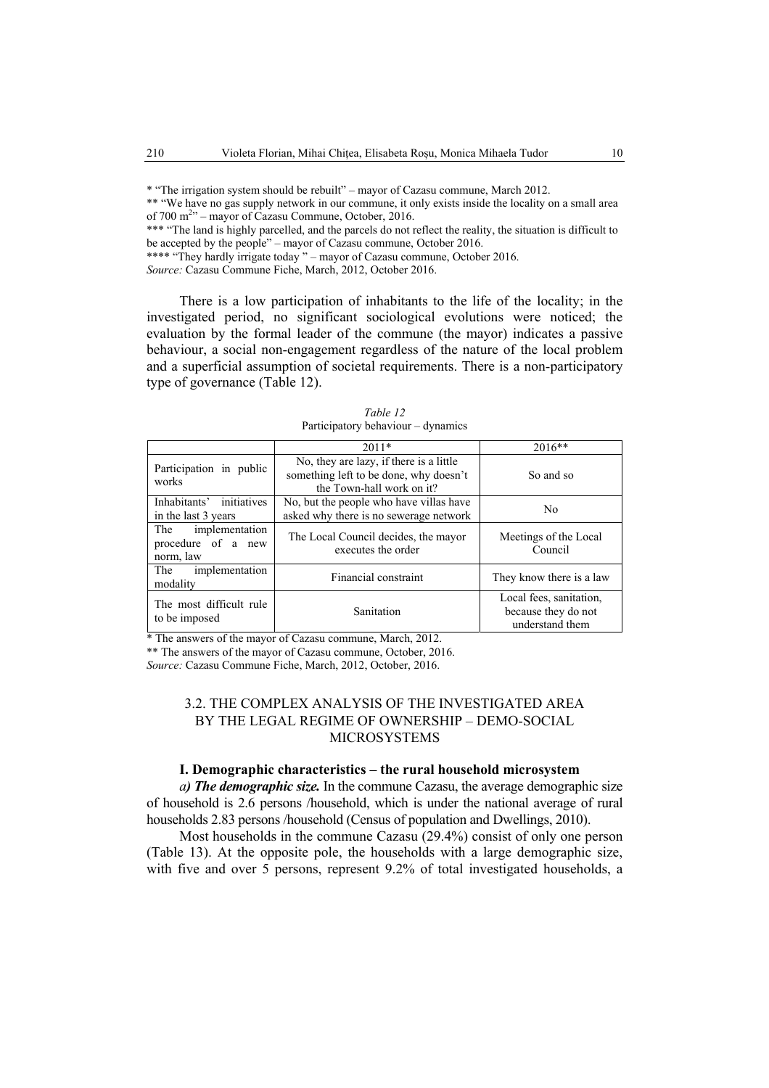\* "The irrigation system should be rebuilt" – mayor of Cazasu commune, March 2012.

\*\* "We have no gas supply network in our commune, it only exists inside the locality on a small area of 700 m<sup>2</sup><sup>2</sup> – mayor of Cazasu Commune, October, 2016.

\*\*\* The land is highly parcelled, and the parcels do not reflect the reality, the situation is difficult to be accepted by the people" – mayor of Cazasu commune, October 2016.

\*\*\*\* "They hardly irrigate today " – mayor of Cazasu commune, October 2016.

*Source:* Cazasu Commune Fiche, March, 2012, October 2016.

There is a low participation of inhabitants to the life of the locality; in the investigated period, no significant sociological evolutions were noticed; the evaluation by the formal leader of the commune (the mayor) indicates a passive behaviour, a social non-engagement regardless of the nature of the local problem and a superficial assumption of societal requirements. There is a non-participatory type of governance (Table 12).

|                                                       | $2011*$                                                                                                        | $2016**$                                                          |
|-------------------------------------------------------|----------------------------------------------------------------------------------------------------------------|-------------------------------------------------------------------|
| Participation in public<br>works                      | No, they are lazy, if there is a little<br>something left to be done, why doesn't<br>the Town-hall work on it? | So and so                                                         |
| initiatives<br>Inhabitants'<br>in the last 3 years    | No, but the people who have villas have<br>asked why there is no sewerage network                              | N <sub>0</sub>                                                    |
| The implementation<br>procedure of a new<br>norm, law | The Local Council decides, the mayor<br>executes the order                                                     | Meetings of the Local<br>Council                                  |
| implementation<br>The<br>modality                     | Financial constraint                                                                                           | They know there is a law                                          |
| The most difficult rule<br>to be imposed              | Sanitation                                                                                                     | Local fees, sanitation,<br>because they do not<br>understand them |

*Table 12*  Participatory behaviour – dynamics

\* The answers of the mayor of Cazasu commune, March, 2012.

\*\* The answers of the mayor of Cazasu commune, October, 2016.

*Source:* Cazasu Commune Fiche, March, 2012, October, 2016.

# 3.2. THE COMPLEX ANALYSIS OF THE INVESTIGATED AREA BY THE LEGAL REGIME OF OWNERSHIP – DEMO-SOCIAL MICROSYSTEMS

# **I. Demographic characteristics – the rural household microsystem**

*a) The demographic size.* In the commune Cazasu, the average demographic size of household is 2.6 persons /household, which is under the national average of rural households 2.83 persons /household (Census of population and Dwellings, 2010).

Most households in the commune Cazasu (29.4%) consist of only one person (Table 13). At the opposite pole, the households with a large demographic size, with five and over 5 persons, represent 9.2% of total investigated households, a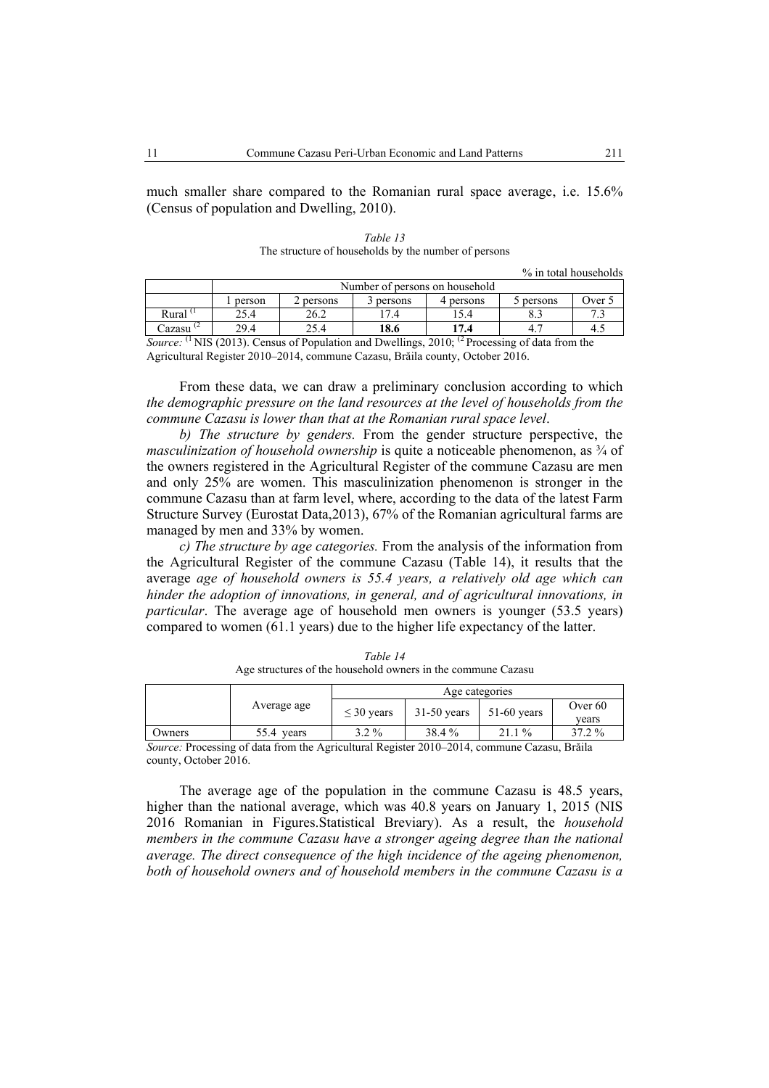much smaller share compared to the Romanian rural space average, i.e. 15.6% (Census of population and Dwelling, 2010).

|                      |        |         |           |           | % in total households |        |
|----------------------|--------|---------|-----------|-----------|-----------------------|--------|
|                      |        |         |           |           |                       |        |
|                      | person | persons | 3 persons | 4 persons | 5 persons             | Jver 5 |
| Rural $1$            | 25.4   | 26.2    | 17.4      | 15.4      |                       |        |
| Cazasu <sup>(2</sup> | 29.4   | 25.4    | 18.6      | 17.4      | 4.                    | 4.5    |

*Table 13*  The structure of households by the number of persons

*Source:* <sup>(1</sup> NIS (2013). Census of Population and Dwellings, 2010; <sup>(2</sup> Processing of data from the Agricultural Register 2010–2014, commune Cazasu, Brăila county, October 2016.

From these data, we can draw a preliminary conclusion according to which *the demographic pressure on the land resources at the level of households from the commune Cazasu is lower than that at the Romanian rural space level*.

*b) The structure by genders.* From the gender structure perspective, the *masculinization of household ownership* is quite a noticeable phenomenon, as  $\frac{3}{4}$  of the owners registered in the Agricultural Register of the commune Cazasu are men and only 25% are women. This masculinization phenomenon is stronger in the commune Cazasu than at farm level, where, according to the data of the latest Farm Structure Survey (Eurostat Data,2013), 67% of the Romanian agricultural farms are managed by men and 33% by women.

*c) The structure by age categories.* From the analysis of the information from the Agricultural Register of the commune Cazasu (Table 14), it results that the average *age of household owners is 55.4 years, a relatively old age which can hinder the adoption of innovations, in general, and of agricultural innovations, in particular*. The average age of household men owners is younger (53.5 years) compared to women (61.1 years) due to the higher life expectancy of the latter.

|        |               | Age categories  |               |               |         |  |
|--------|---------------|-----------------|---------------|---------------|---------|--|
|        | Average age   | $\leq$ 30 years | $31-50$ years | $51-60$ years | Over 60 |  |
|        |               |                 |               |               | vears   |  |
| Owners | 55.4<br>years | $3.2\%$         | 38.4 %        | $1\%$<br>21.1 | 37.2 %  |  |

*Table 14*  Age structures of the household owners in the commune Cazasu

*Source:* Processing of data from the Agricultural Register 2010–2014, commune Cazasu, Brăila county, October 2016.

The average age of the population in the commune Cazasu is 48.5 years, higher than the national average, which was 40.8 years on January 1, 2015 (NIS 2016 Romanian in Figures.Statistical Breviary). As a result, the *household members in the commune Cazasu have a stronger ageing degree than the national average. The direct consequence of the high incidence of the ageing phenomenon, both of household owners and of household members in the commune Cazasu is a*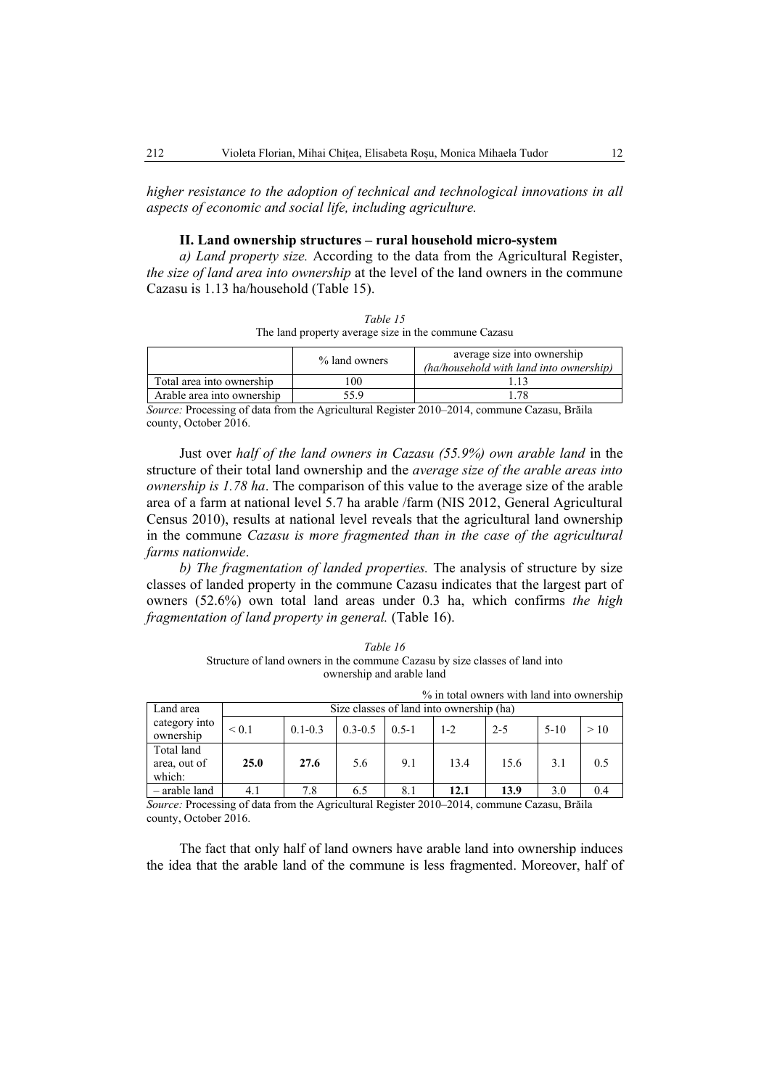*higher resistance to the adoption of technical and technological innovations in all aspects of economic and social life, including agriculture.* 

# **II. Land ownership structures – rural household micro-system**

*a) Land property size.* According to the data from the Agricultural Register, *the size of land area into ownership* at the level of the land owners in the commune Cazasu is 1.13 ha/household (Table 15).

| Table 15                                             |
|------------------------------------------------------|
| The land property average size in the commune Cazasu |

|                            | % land owners | average size into ownership<br>(ha/household with land into ownership) |
|----------------------------|---------------|------------------------------------------------------------------------|
| Total area into ownership  | 00            |                                                                        |
| Arable area into ownership | , 5 Q         |                                                                        |
|                            |               | n : etc d i thin announce and the method                               |

*Source:* Processing of data from the Agricultural Register 2010–2014, commune Cazasu, Brăila county, October 2016.

Just over *half of the land owners in Cazasu (55.9%) own arable land* in the structure of their total land ownership and the *average size of the arable areas into ownership is 1.78 ha*. The comparison of this value to the average size of the arable area of a farm at national level 5.7 ha arable /farm (NIS 2012, General Agricultural Census 2010), results at national level reveals that the agricultural land ownership in the commune *Cazasu is more fragmented than in the case of the agricultural farms nationwide*.

*b) The fragmentation of landed properties.* The analysis of structure by size classes of landed property in the commune Cazasu indicates that the largest part of owners (52.6%) own total land areas under 0.3 ha, which confirms *the high fragmentation of land property in general.* (Table 16).

*Table 16*  Structure of land owners in the commune Cazasu by size classes of land into ownership and arable land

|                                      |       |             |             |           |                                          | % in total owners with land into ownership |        |     |
|--------------------------------------|-------|-------------|-------------|-----------|------------------------------------------|--------------------------------------------|--------|-----|
| Land area                            |       |             |             |           | Size classes of land into ownership (ha) |                                            |        |     |
| category into<br>ownership           | < 0.1 | $0.1 - 0.3$ | $0.3 - 0.5$ | $0.5 - 1$ | $1 - 2$                                  | $2 - 5$                                    | $5-10$ | >10 |
| Total land<br>area, out of<br>which: | 25.0  | 27.6        | 5.6         | 9.1       | 13.4                                     | 15.6                                       | 3.1    | 0.5 |
| - arable land                        | 4.1   | 7.8         | 6.5         | 8.1       | 12.1                                     | 13.9                                       | 3.0    | 0.4 |

*Source:* Processing of data from the Agricultural Register 2010–2014, commune Cazasu, Brăila county, October 2016.

The fact that only half of land owners have arable land into ownership induces the idea that the arable land of the commune is less fragmented. Moreover, half of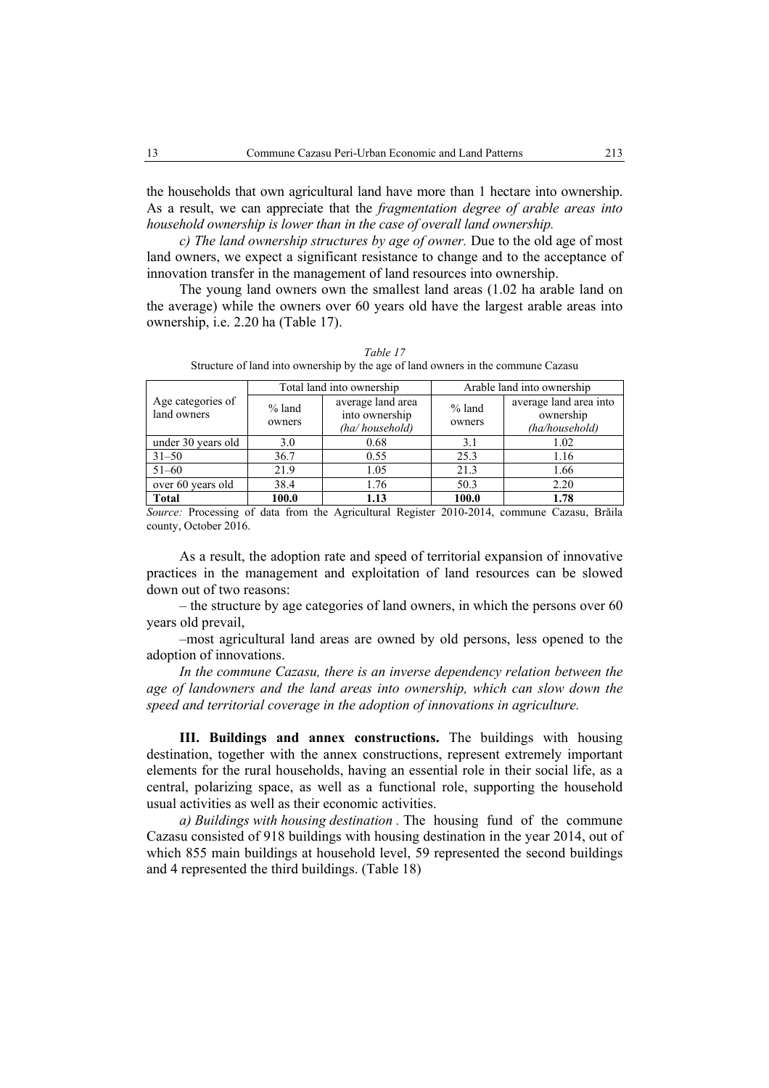the households that own agricultural land have more than 1 hectare into ownership. As a result, we can appreciate that the *fragmentation degree of arable areas into household ownership is lower than in the case of overall land ownership.* 

*c) The land ownership structures by age of owner.* Due to the old age of most land owners, we expect a significant resistance to change and to the acceptance of innovation transfer in the management of land resources into ownership.

The young land owners own the smallest land areas (1.02 ha arable land on the average) while the owners over 60 years old have the largest arable areas into ownership, i.e. 2.20 ha (Table 17).

|                                  |                    | Total land into ownership                             | Arable land into ownership |                                                       |  |
|----------------------------------|--------------------|-------------------------------------------------------|----------------------------|-------------------------------------------------------|--|
| Age categories of<br>land owners | $%$ land<br>owners | average land area<br>into ownership<br>(ha/household) | $%$ land<br>owners         | average land area into<br>ownership<br>(ha/household) |  |
| under 30 years old               | 3.0                | 0.68                                                  | 3.1                        | 1.02                                                  |  |
| $31 - 50$                        | 36.7               | 0.55                                                  | 25.3                       | 1.16                                                  |  |
| $51 - 60$                        | 21.9               | 1.05                                                  | 21.3                       | 1.66                                                  |  |
| over 60 years old                | 38.4               | 1.76                                                  | 50.3                       | 2.20                                                  |  |
| <b>Total</b>                     | 100.0              | 1.13                                                  | 100.0                      | 1.78                                                  |  |

*Table 17*  Structure of land into ownership by the age of land owners in the commune Cazasu

*Source:* Processing of data from the Agricultural Register 2010-2014, commune Cazasu, Brăila county, October 2016.

As a result, the adoption rate and speed of territorial expansion of innovative practices in the management and exploitation of land resources can be slowed down out of two reasons:

– the structure by age categories of land owners, in which the persons over 60 years old prevail,

–most agricultural land areas are owned by old persons, less opened to the adoption of innovations.

*In the commune Cazasu, there is an inverse dependency relation between the age of landowners and the land areas into ownership, which can slow down the speed and territorial coverage in the adoption of innovations in agriculture.* 

**III. Buildings and annex constructions.** The buildings with housing destination, together with the annex constructions, represent extremely important elements for the rural households, having an essential role in their social life, as a central, polarizing space, as well as a functional role, supporting the household usual activities as well as their economic activities.

*a) Buildings with housing destination .* The housing fund of the commune Cazasu consisted of 918 buildings with housing destination in the year 2014, out of which 855 main buildings at household level, 59 represented the second buildings and 4 represented the third buildings. (Table 18)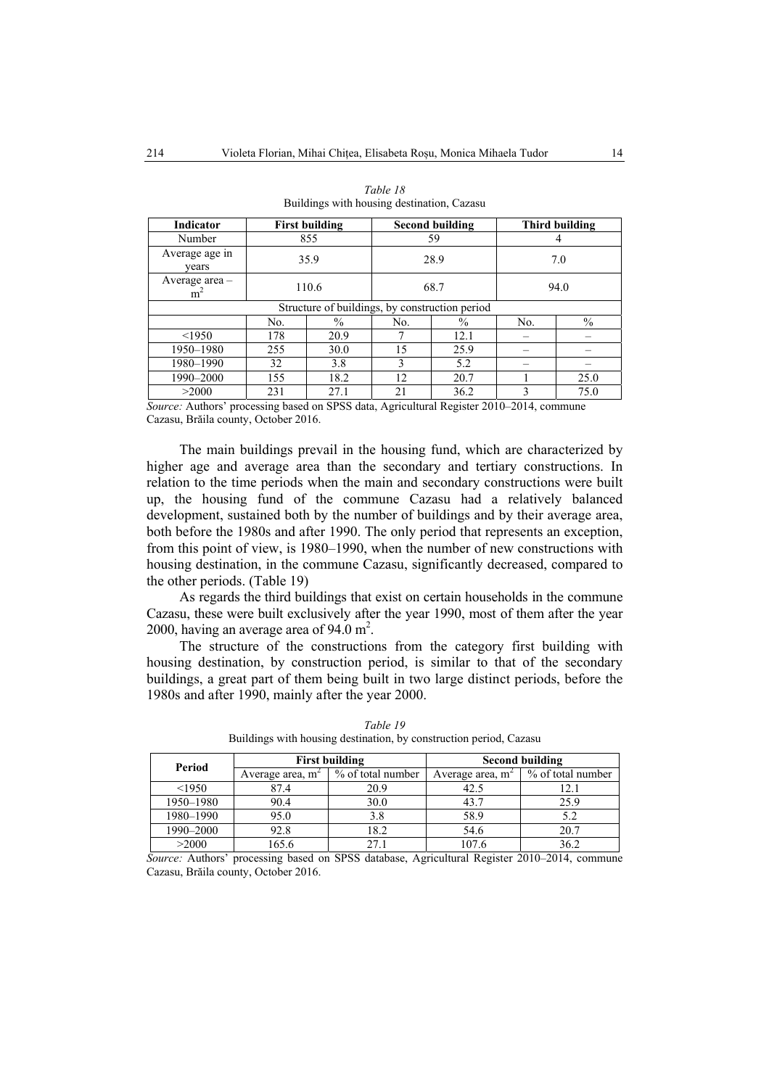| <b>Indicator</b>                   |     | <b>First building</b>                          |      | Second building |      | Third building |  |
|------------------------------------|-----|------------------------------------------------|------|-----------------|------|----------------|--|
| Number                             |     | 855                                            | 59   |                 |      |                |  |
| Average age in<br>vears            |     | 35.9                                           | 28.9 |                 | 7.0  |                |  |
| Average area $-$<br>m <sup>2</sup> |     | 110.6                                          | 68.7 |                 | 94.0 |                |  |
|                                    |     | Structure of buildings, by construction period |      |                 |      |                |  |
|                                    | No. | $\%$                                           | No.  | $\frac{0}{0}$   | No.  | $\%$           |  |
| < 1950                             | 178 | 20.9                                           |      | 12.1            |      |                |  |
| 1950-1980                          | 255 | 30.0                                           | 15   | 25.9            |      |                |  |
| 1980-1990                          | 32  | 3.8                                            | 3    | 5.2             |      |                |  |
| 1990-2000                          | 155 | 18.2                                           | 12   | 20.7            |      | 25.0           |  |
| >2000                              | 231 | 27.1                                           | 21   | 36.2            | 3    | 75.0           |  |

| Table 18                                   |  |
|--------------------------------------------|--|
| Buildings with housing destination, Cazasu |  |

*Source:* Authors' processing based on SPSS data, Agricultural Register 2010–2014, commune Cazasu, Brăila county, October 2016.

The main buildings prevail in the housing fund, which are characterized by higher age and average area than the secondary and tertiary constructions. In relation to the time periods when the main and secondary constructions were built up, the housing fund of the commune Cazasu had a relatively balanced development, sustained both by the number of buildings and by their average area, both before the 1980s and after 1990. The only period that represents an exception, from this point of view, is 1980–1990, when the number of new constructions with housing destination, in the commune Cazasu, significantly decreased, compared to the other periods. (Table 19)

As regards the third buildings that exist on certain households in the commune Cazasu, these were built exclusively after the year 1990, most of them after the year 2000, having an average area of  $94.0 \text{ m}^2$ .

The structure of the constructions from the category first building with housing destination, by construction period, is similar to that of the secondary buildings, a great part of them being built in two large distinct periods, before the 1980s and after 1990, mainly after the year 2000.

| Period    |                              | <b>First building</b> | <b>Second building</b> |                   |  |
|-----------|------------------------------|-----------------------|------------------------|-------------------|--|
|           | Average area, m <sup>2</sup> | % of total number     | Average area, m        | % of total number |  |
| <1950     | 87.4                         | 20.9                  |                        |                   |  |
| 1950-1980 | 90.4                         | 30.0                  | 43.7                   | 25.9              |  |
| 1980-1990 | 95.0                         | 3.8                   | 58.9                   |                   |  |
| 1990-2000 | 92.8                         | 18.2                  | 54.6                   | 20.7              |  |
| >2000     | 65.6                         | 271                   | 107.6                  | 36.2              |  |

*Table 19*  Buildings with housing destination, by construction period, Cazasu

*Source:* Authors' processing based on SPSS database, Agricultural Register 2010–2014, commune Cazasu, Brăila county, October 2016.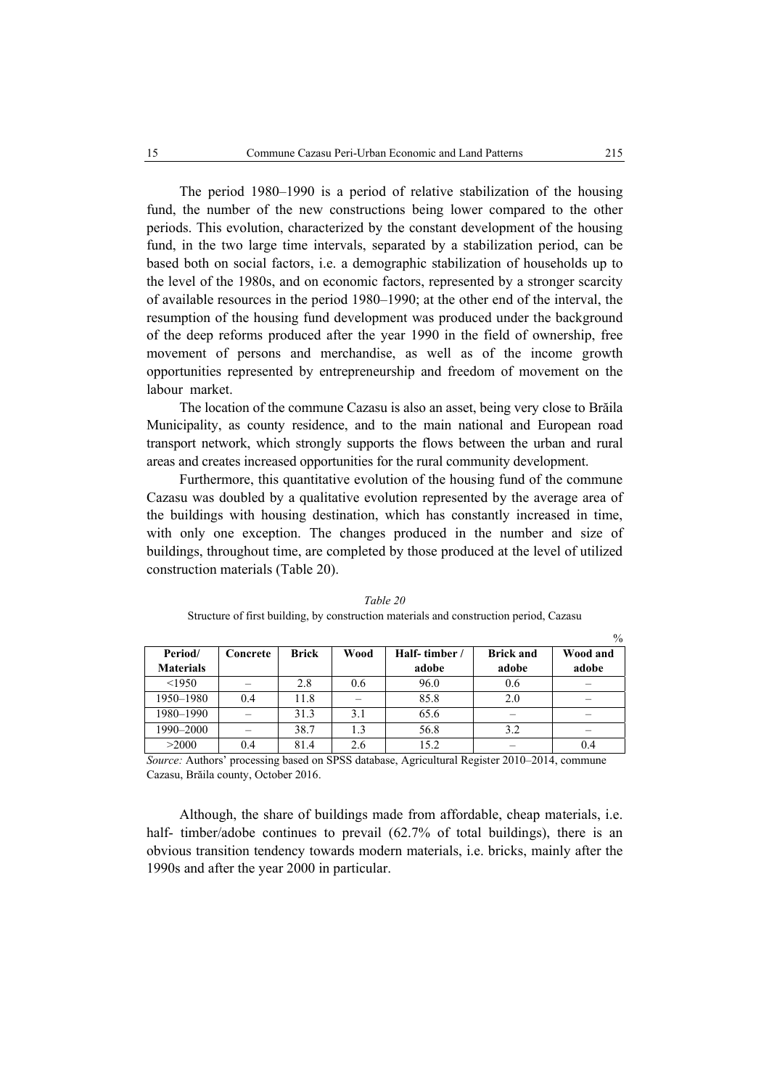The period 1980–1990 is a period of relative stabilization of the housing fund, the number of the new constructions being lower compared to the other periods. This evolution, characterized by the constant development of the housing fund, in the two large time intervals, separated by a stabilization period, can be based both on social factors, i.e. a demographic stabilization of households up to the level of the 1980s, and on economic factors, represented by a stronger scarcity of available resources in the period 1980–1990; at the other end of the interval, the resumption of the housing fund development was produced under the background of the deep reforms produced after the year 1990 in the field of ownership, free movement of persons and merchandise, as well as of the income growth opportunities represented by entrepreneurship and freedom of movement on the labour market.

The location of the commune Cazasu is also an asset, being very close to Brăila Municipality, as county residence, and to the main national and European road transport network, which strongly supports the flows between the urban and rural areas and creates increased opportunities for the rural community development.

Furthermore, this quantitative evolution of the housing fund of the commune Cazasu was doubled by a qualitative evolution represented by the average area of the buildings with housing destination, which has constantly increased in time, with only one exception. The changes produced in the number and size of buildings, throughout time, are completed by those produced at the level of utilized construction materials (Table 20).

|                  |          |              |      |              |                  | $\frac{0}{0}$ |
|------------------|----------|--------------|------|--------------|------------------|---------------|
| Period/          | Concrete | <b>Brick</b> | Wood | Half-timber/ | <b>Brick and</b> | Wood and      |
| <b>Materials</b> |          |              |      | adobe        | adobe            | adobe         |
| < 1950           |          | 2.8          | 0.6  | 96.0         | 0.6              |               |
| 1950-1980        | 0.4      | 11.8         |      | 85.8         | 2.0              |               |
| 1980-1990        |          | 31.3         | 3.1  | 65.6         |                  |               |
| 1990-2000        |          | 38.7         | 1.3  | 56.8         | 3.2              |               |
| >2000            | 0.4      | 81.4         | 2.6  | 15.2         |                  |               |

*Table 20*  Structure of first building, by construction materials and construction period, Cazasu

*Source:* Authors' processing based on SPSS database, Agricultural Register 2010–2014, commune Cazasu, Brăila county, October 2016.

Although, the share of buildings made from affordable, cheap materials, i.e. half- timber/adobe continues to prevail (62.7% of total buildings), there is an obvious transition tendency towards modern materials, i.e. bricks, mainly after the 1990s and after the year 2000 in particular.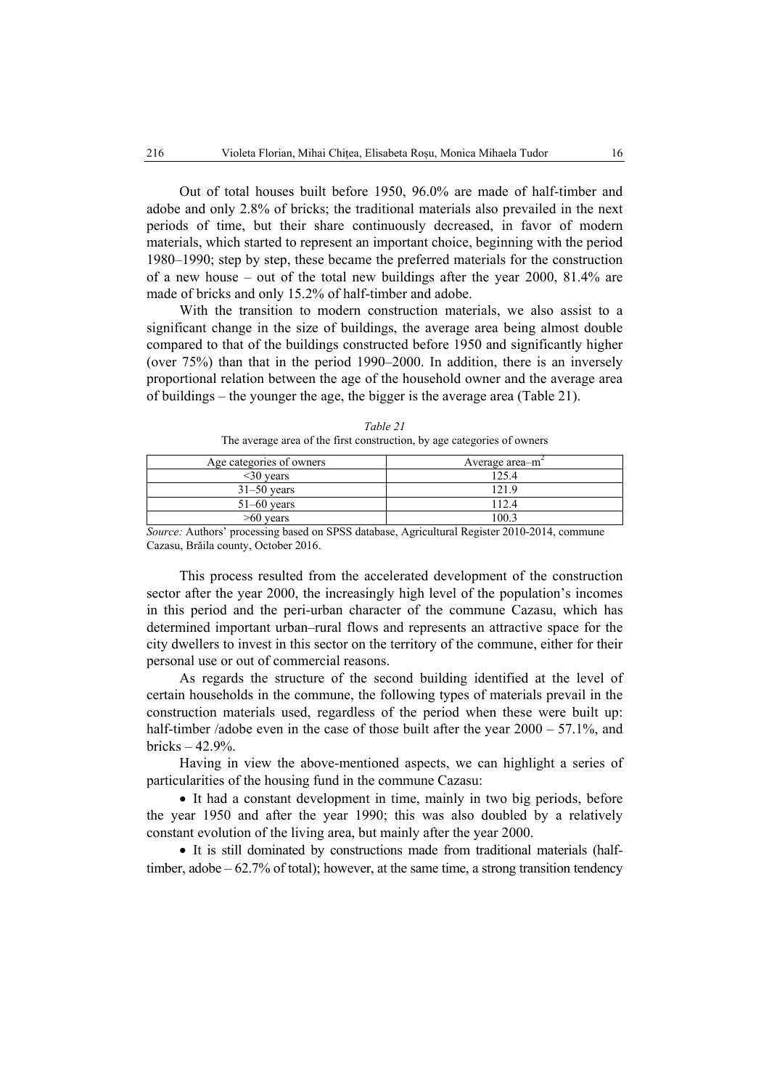Out of total houses built before 1950, 96.0% are made of half-timber and adobe and only 2.8% of bricks; the traditional materials also prevailed in the next periods of time, but their share continuously decreased, in favor of modern materials, which started to represent an important choice, beginning with the period 1980–1990; step by step, these became the preferred materials for the construction of a new house – out of the total new buildings after the year 2000, 81.4% are made of bricks and only 15.2% of half-timber and adobe.

With the transition to modern construction materials, we also assist to a significant change in the size of buildings, the average area being almost double compared to that of the buildings constructed before 1950 and significantly higher (over 75%) than that in the period 1990–2000. In addition, there is an inversely proportional relation between the age of the household owner and the average area of buildings – the younger the age, the bigger is the average area (Table 21).

| Age categories of owners | Average area $-m2$ |
|--------------------------|--------------------|
| $30$ years               | 125.4              |
| $31-50$ years            | 219                |
| $51-60$ years            | 112.4              |
| $>60$ years              | .00.3              |

*Table 21*  The average area of the first construction, by age categories of owners

*Source:* Authors' processing based on SPSS database, Agricultural Register 2010-2014, commune Cazasu, Brăila county, October 2016.

This process resulted from the accelerated development of the construction sector after the year 2000, the increasingly high level of the population's incomes in this period and the peri-urban character of the commune Cazasu, which has determined important urban–rural flows and represents an attractive space for the city dwellers to invest in this sector on the territory of the commune, either for their personal use or out of commercial reasons.

As regards the structure of the second building identified at the level of certain households in the commune, the following types of materials prevail in the construction materials used, regardless of the period when these were built up: half-timber /adobe even in the case of those built after the year  $2000 - 57.1\%$ , and bricks – 42.9%.

Having in view the above-mentioned aspects, we can highlight a series of particularities of the housing fund in the commune Cazasu:

• It had a constant development in time, mainly in two big periods, before the year 1950 and after the year 1990; this was also doubled by a relatively constant evolution of the living area, but mainly after the year 2000.

• It is still dominated by constructions made from traditional materials (halftimber, adobe – 62.7% of total); however, at the same time, a strong transition tendency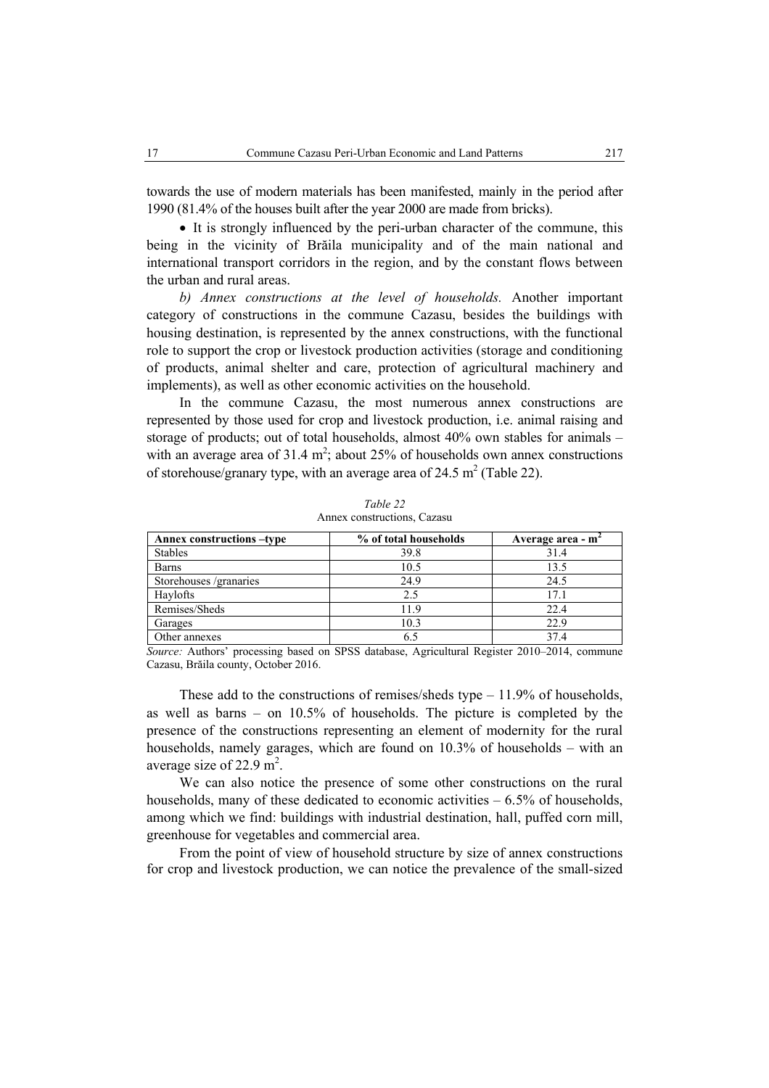towards the use of modern materials has been manifested, mainly in the period after 1990 (81.4% of the houses built after the year 2000 are made from bricks).

• It is strongly influenced by the peri-urban character of the commune, this being in the vicinity of Brăila municipality and of the main national and international transport corridors in the region, and by the constant flows between the urban and rural areas.

*b) Annex constructions at the level of households.* Another important category of constructions in the commune Cazasu, besides the buildings with housing destination, is represented by the annex constructions, with the functional role to support the crop or livestock production activities (storage and conditioning of products, animal shelter and care, protection of agricultural machinery and implements), as well as other economic activities on the household.

In the commune Cazasu, the most numerous annex constructions are represented by those used for crop and livestock production, i.e. animal raising and storage of products; out of total households, almost 40% own stables for animals – with an average area of  $31.4 \text{ m}^2$ ; about 25% of households own annex constructions of storehouse/granary type, with an average area of  $24.5 \text{ m}^2$  (Table 22).

| Annex constructions -type | % of total households | Average area - m <sup>2</sup> |
|---------------------------|-----------------------|-------------------------------|
| <b>Stables</b>            | 39.8                  | 31.4                          |
| <b>Barns</b>              | 10.5                  | 13.5                          |
| Storehouses /granaries    | 24.9                  | 24.5                          |
| Haylofts                  | 2.5                   | 17.1                          |
| Remises/Sheds             | 119                   | 22.4                          |
| Garages                   | 10.3                  | 22.9                          |
| Other annexes             |                       | 374                           |

*Table 22*  Annex constructions, Cazasu

*Source:* Authors' processing based on SPSS database, Agricultural Register 2010–2014, commune Cazasu, Brăila county, October 2016.

These add to the constructions of remises/sheds type – 11.9% of households, as well as barns – on 10.5% of households. The picture is completed by the presence of the constructions representing an element of modernity for the rural households, namely garages, which are found on 10.3% of households – with an average size of  $22.9 \text{ m}^2$ .

We can also notice the presence of some other constructions on the rural households, many of these dedicated to economic activities  $-6.5\%$  of households, among which we find: buildings with industrial destination, hall, puffed corn mill, greenhouse for vegetables and commercial area.

From the point of view of household structure by size of annex constructions for crop and livestock production, we can notice the prevalence of the small-sized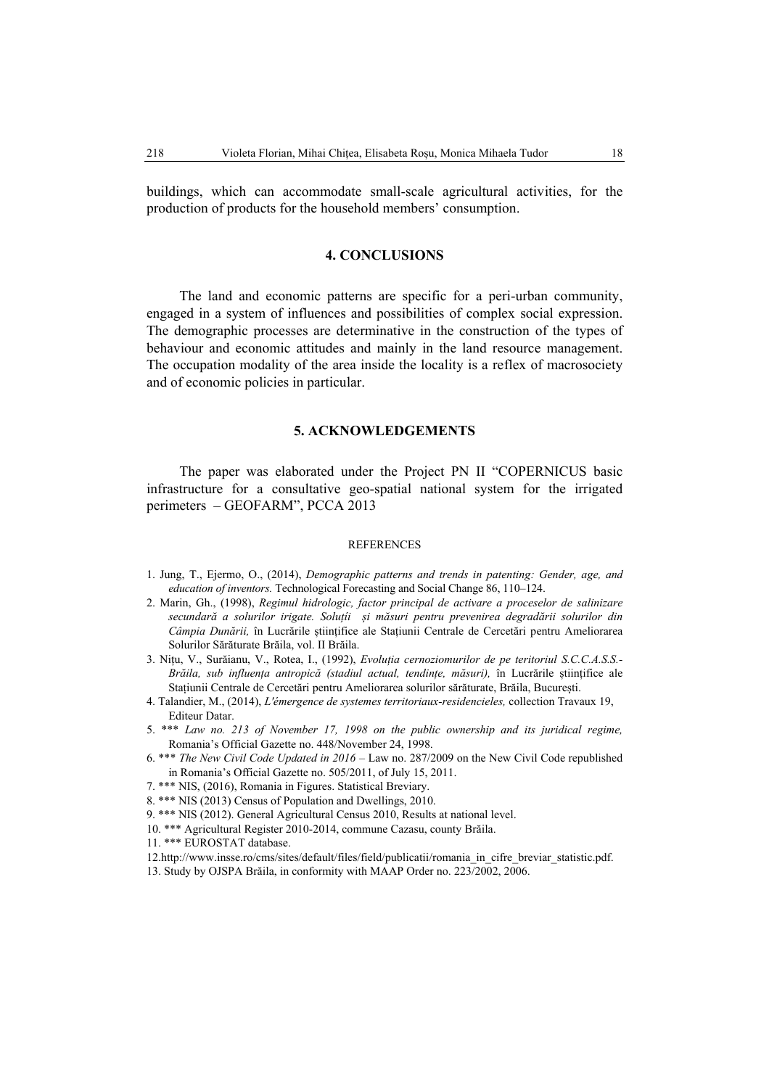buildings, which can accommodate small-scale agricultural activities, for the production of products for the household members' consumption.

#### **4. CONCLUSIONS**

The land and economic patterns are specific for a peri-urban community, engaged in a system of influences and possibilities of complex social expression. The demographic processes are determinative in the construction of the types of behaviour and economic attitudes and mainly in the land resource management. The occupation modality of the area inside the locality is a reflex of macrosociety and of economic policies in particular.

# **5. ACKNOWLEDGEMENTS**

The paper was elaborated under the Project PN II "COPERNICUS basic infrastructure for a consultative geo-spatial national system for the irrigated perimeters – GEOFARM", PCCA 2013

#### **REFERENCES**

- 1. Jung, T., Ejermo, O., (2014), *Demographic patterns and trends in patenting: Gender, age, and education of inventors.* Technological Forecasting and Social Change 86, 110–124.
- 2. Marin, Gh., (1998), *Regimul hidrologic, factor principal de activare a proceselor de salinizare secundară a solurilor irigate. Soluțíi și măsuri pentru prevenirea degradării solurilor din Câmpia Dunării,* în Lucrările științifice ale Stațiunii Centrale de Cercetări pentru Ameliorarea Solurilor Sărăturate Brăila, vol. II Brăila.
- 3. Nițu, V., Surăianu, V., Rotea, I., (1992), *Evoluția cernoziomurilor de pe teritoriul S.C.C.A.S.S.- Brăila, sub influența antropică (stadiul actual, tendințe, măsuri),* în Lucrările științifice ale Stațiunii Centrale de Cercetări pentru Ameliorarea solurilor sărăturate, Brăila, București.
- 4. Talandier, M., (2014), *L'émergence de systemes territoriaux-residencieles,* collection Travaux 19, Editeur Datar.
- 5. \*\*\* *Law no. 213 of November 17, 1998 on the public ownership and its juridical regime,*  Romania's Official Gazette no. 448/November 24, 1998.
- 6. \*\*\* *The New Civil Code Updated in 2016*  Law no. 287/2009 on the New Civil Code republished in Romania's Official Gazette no. 505/2011, of July 15, 2011.
- 7. \*\*\* NIS, (2016), Romania in Figures. Statistical Breviary.
- 8. \*\*\* NIS (2013) Census of Population and Dwellings, 2010.
- 9. \*\*\* NIS (2012). General Agricultural Census 2010, Results at national level.
- 10. \*\*\* Agricultural Register 2010-2014, commune Cazasu, county Brăila.
- 11. \*\*\* EUROSTAT database.
- 12.http://www.insse.ro/cms/sites/default/files/field/publicatii/romania\_in\_cifre\_breviar\_statistic.pdf.
- 13. Study by OJSPA Brăila, in conformity with MAAP Order no. 223/2002, 2006.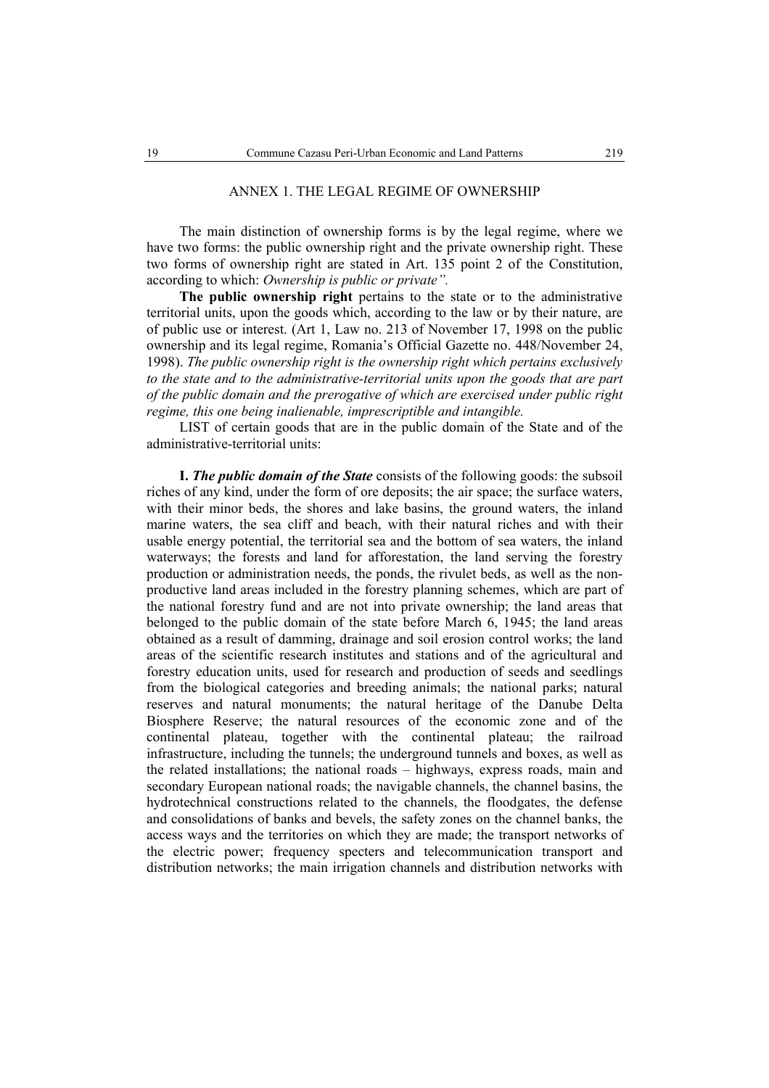#### ANNEX 1. THE LEGAL REGIME OF OWNERSHIP

The main distinction of ownership forms is by the legal regime, where we have two forms: the public ownership right and the private ownership right. These two forms of ownership right are stated in Art. 135 point 2 of the Constitution, according to which: *Ownership is public or private".* 

**The public ownership right** pertains to the state or to the administrative territorial units, upon the goods which, according to the law or by their nature, are of public use or interest. (Art 1, Law no. 213 of November 17, 1998 on the public ownership and its legal regime, Romania's Official Gazette no. 448/November 24, 1998). *The public ownership right is the ownership right which pertains exclusively to the state and to the administrative-territorial units upon the goods that are part of the public domain and the prerogative of which are exercised under public right regime, this one being inalienable, imprescriptible and intangible.* 

LIST of certain goods that are in the public domain of the State and of the administrative-territorial units:

**I.** *The public domain of the State* consists of the following goods: the subsoil riches of any kind, under the form of ore deposits; the air space; the surface waters, with their minor beds, the shores and lake basins, the ground waters, the inland marine waters, the sea cliff and beach, with their natural riches and with their usable energy potential, the territorial sea and the bottom of sea waters, the inland waterways; the forests and land for afforestation, the land serving the forestry production or administration needs, the ponds, the rivulet beds, as well as the nonproductive land areas included in the forestry planning schemes, which are part of the national forestry fund and are not into private ownership; the land areas that belonged to the public domain of the state before March 6, 1945; the land areas obtained as a result of damming, drainage and soil erosion control works; the land areas of the scientific research institutes and stations and of the agricultural and forestry education units, used for research and production of seeds and seedlings from the biological categories and breeding animals; the national parks; natural reserves and natural monuments; the natural heritage of the Danube Delta Biosphere Reserve; the natural resources of the economic zone and of the continental plateau, together with the continental plateau; the railroad infrastructure, including the tunnels; the underground tunnels and boxes, as well as the related installations; the national roads – highways, express roads, main and secondary European national roads; the navigable channels, the channel basins, the hydrotechnical constructions related to the channels, the floodgates, the defense and consolidations of banks and bevels, the safety zones on the channel banks, the access ways and the territories on which they are made; the transport networks of the electric power; frequency specters and telecommunication transport and distribution networks; the main irrigation channels and distribution networks with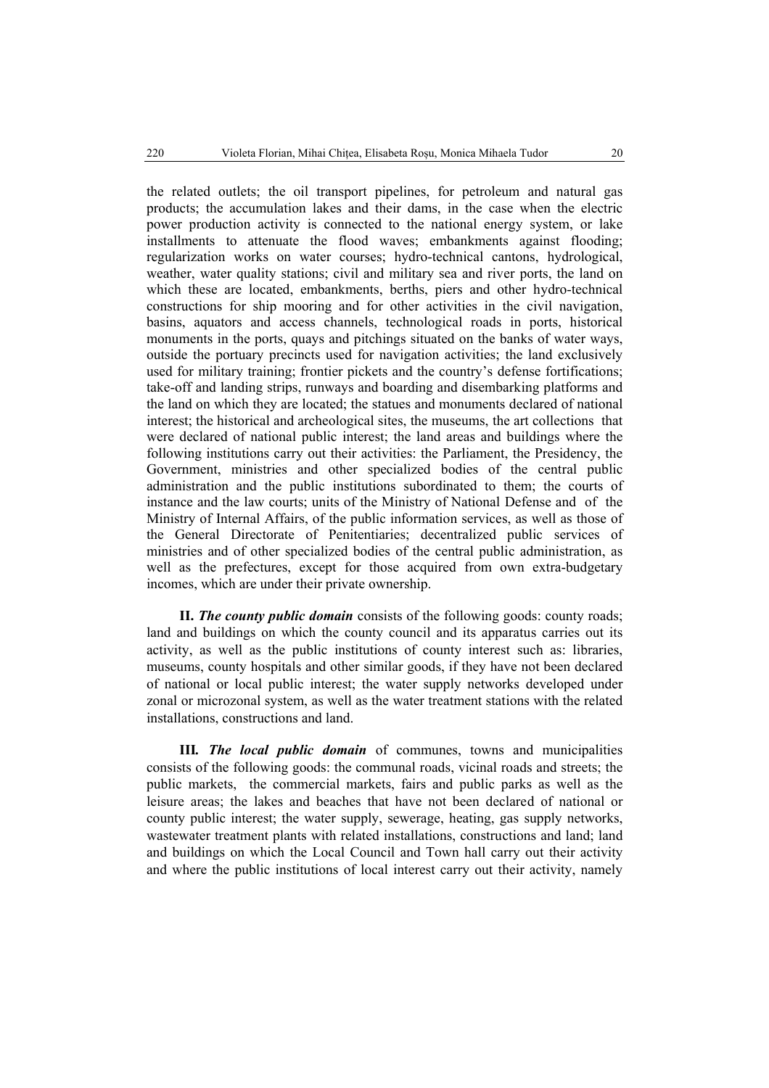the related outlets; the oil transport pipelines, for petroleum and natural gas products; the accumulation lakes and their dams, in the case when the electric power production activity is connected to the national energy system, or lake installments to attenuate the flood waves; embankments against flooding; regularization works on water courses; hydro-technical cantons, hydrological, weather, water quality stations; civil and military sea and river ports, the land on which these are located, embankments, berths, piers and other hydro-technical constructions for ship mooring and for other activities in the civil navigation, basins, aquators and access channels, technological roads in ports, historical monuments in the ports, quays and pitchings situated on the banks of water ways, outside the portuary precincts used for navigation activities; the land exclusively used for military training; frontier pickets and the country's defense fortifications; take-off and landing strips, runways and boarding and disembarking platforms and the land on which they are located; the statues and monuments declared of national interest; the historical and archeological sites, the museums, the art collections that were declared of national public interest; the land areas and buildings where the following institutions carry out their activities: the Parliament, the Presidency, the Government, ministries and other specialized bodies of the central public administration and the public institutions subordinated to them; the courts of instance and the law courts; units of the Ministry of National Defense and of the Ministry of Internal Affairs, of the public information services, as well as those of the General Directorate of Penitentiaries; decentralized public services of ministries and of other specialized bodies of the central public administration, as well as the prefectures, except for those acquired from own extra-budgetary incomes, which are under their private ownership.

**II.** *The county public domain* consists of the following goods: county roads; land and buildings on which the county council and its apparatus carries out its activity, as well as the public institutions of county interest such as: libraries, museums, county hospitals and other similar goods, if they have not been declared of national or local public interest; the water supply networks developed under zonal or microzonal system, as well as the water treatment stations with the related installations, constructions and land.

**III***. The local public domain* of communes, towns and municipalities consists of the following goods: the communal roads, vicinal roads and streets; the public markets, the commercial markets, fairs and public parks as well as the leisure areas; the lakes and beaches that have not been declared of national or county public interest; the water supply, sewerage, heating, gas supply networks, wastewater treatment plants with related installations, constructions and land; land and buildings on which the Local Council and Town hall carry out their activity and where the public institutions of local interest carry out their activity, namely